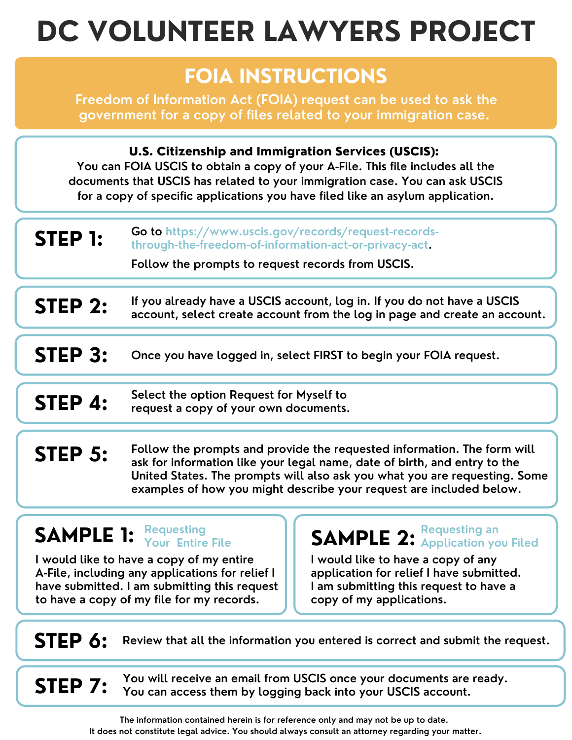# **DC VOLUNTEER LAWYERS PROJECT**

## **FOIA INSTRUCTIONS**

**Freedom of Information Act (FOIA) request can be used to ask the government for a copy of files related to your immigration case.**

U.S. Citizenship and Immigration Services (USCIS):

**You can FOIA USCIS to obtain a copy of your A-File. This file includes all the documents that USCIS has related to your immigration case. You can ask USCIS for a copy of specific applications you have filed like an asylum application.**

| <b>STEP 1:</b> | <b>Go to https://www.uscis.gov/records/request-records-</b> |
|----------------|-------------------------------------------------------------|
|                | through-the-freedom-of-information-act-or-privacy-act.      |

**Follow the prompts to request records from USCIS.**

- **If you already have a USCIS account, log in. If you do not have a USCIS account, select create account from the log in page and create an account. STEP 2:**
- **Once you have logged in, select FIRST to begin your FOIA request. STEP 3:**
- **SHEP 4:** Select the option Request for Myself to request a copy of your own documents.
- **Follow the prompts and provide the requested information. The form will ask for information like your legal name, date of birth, and entry to the United States. The prompts will also ask you what you are requesting. Some examples of how you might describe your request are included below. STEP 5:**

## **SAMPLE 1: Requesting**

**I would like to have a copy of my entire A-File, including any applications for relief I have submitted. I am submitting this request to have a copy of my file for my records.**

**Your Entire File SAMPLE 2: Requesting an Application you Filed**

> **I would like to have a copy of any application for relief I have submitted. I am submitting this request to have a copy of my applications.**

### **STEP 6: Review that all the information you entered is correct and submit the request.**

**STEP 7:** You will receive an email from USCIS once your documents are ready.<br>**STEP 7:** You can access them by logging back into your USCIS account.

**The information contained herein is for reference only and may not be up to date. It does not constitute legal advice. You should always consult an attorney regarding your matter.**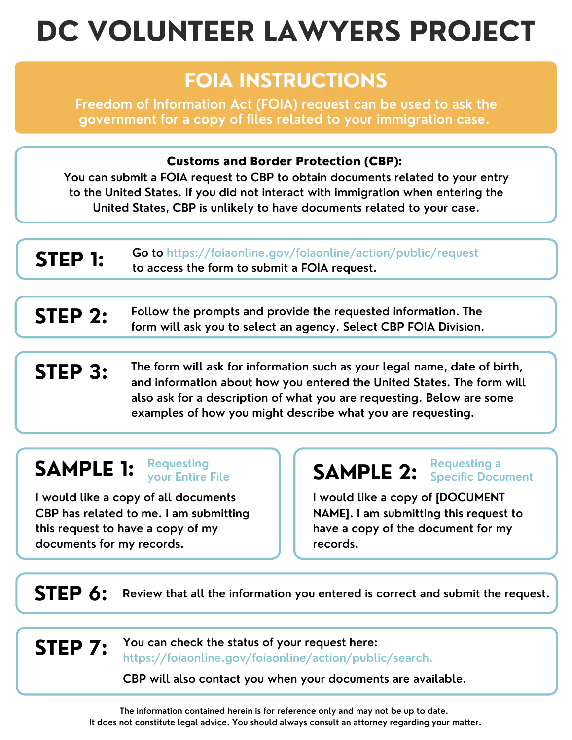# **DC VOLUNTEER LAWYERS PROJECT**

### **FOIA INSTRUCTIONS**

**Freedom of Information Act (FOIA) request can be used to ask the government for a copy of files related to your immigration case.**

#### Customs and Border Protection (CBP):

**You can submit a FOIA request to CBP to obtain documents related to your entry to the United States. If you did not interact with immigration when entering the United States, CBP is unlikely to have documents related to your case.**

| <b>STEP 1:</b> | <b>Go to https://foiaonline.gov/foiaonline/action/public/request</b> |
|----------------|----------------------------------------------------------------------|
|                | to access the form to submit a FOIA request.                         |

- **Follow the prompts and provide the requested information. The form will ask you to select an agency. Select CBP FOIA Division. STEP 2:**
- **The form will ask for information such as your legal name, date of birth, and information about how you entered the United States. The form will also ask for a description of what you are requesting. Below are some examples of how you might describe what you are requesting. STEP 3:**

#### **SAMPLE 1: Requesting**

**I would like a copy of all documents CBP has related to me. I am submitting this request to have a copy of my documents for my records.**

#### **SAMPLE 2: Requesting a Specific Document**

**I would like a copy of [DOCUMENT NAME]. I am submitting this request to have a copy of the document for my records.**

**STEP 6: Review that all the information you entered is correct and submit the request.**

**You can check the status of your request here: <https://foiaonline.gov/foiaonline/action/public/search>. STEP 7:**

**CBP will also contact you when your documents are available.**

**The information contained herein is for reference only and may not be up to date. It does not constitute legal advice. You should always consult an attorney regarding your matter.**